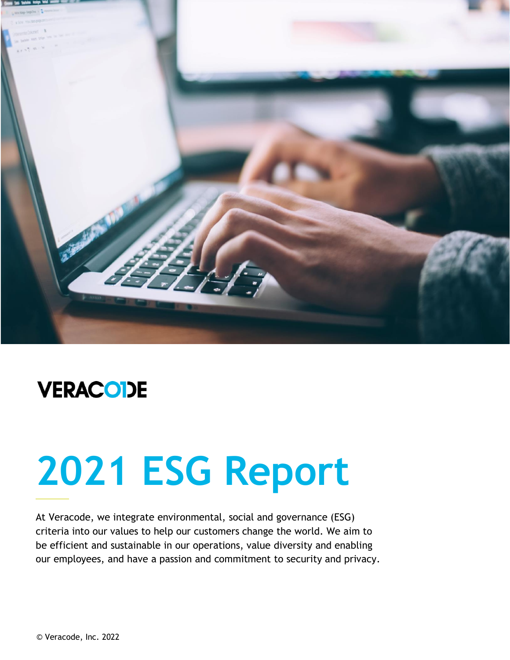

## **VERACODE**

# **2021 ESG Report**

At Veracode, we integrate environmental, social and governance (ESG) criteria into our values to help our customers change the world. We aim to be efficient and sustainable in our operations, value diversity and enabling our employees, and have a passion and commitment to security and privacy.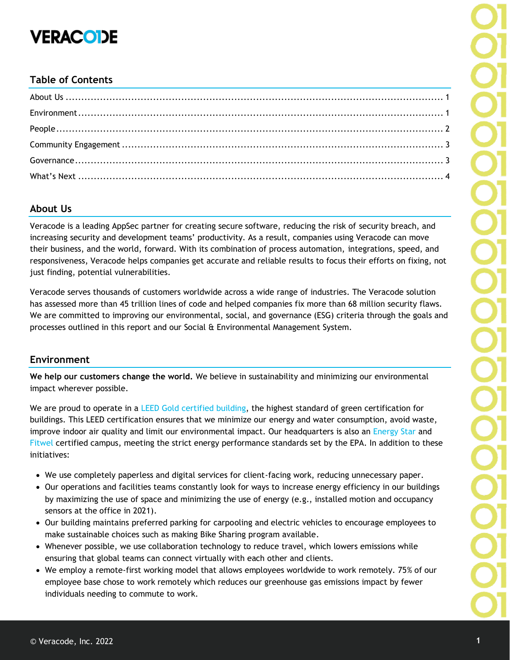## **VERACODE**

#### **Table of Contents**

#### <span id="page-1-0"></span>**About Us**

Veracode is a leading AppSec partner for creating secure software, reducing the risk of security breach, and increasing security and development teams' productivity. As a result, companies using Veracode can move their business, and the world, forward. With its combination of process automation, integrations, speed, and responsiveness, Veracode helps companies get accurate and reliable results to focus their efforts on fixing, not just finding, potential vulnerabilities.

Veracode serves thousands of customers worldwide across a wide range of industries. The Veracode solution has assessed more than 45 trillion lines of code and helped companies fix more than 68 million security flaws. We are committed to improving our environmental, social, and governance (ESG) criteria through the goals and processes outlined in this report and our Social & Environmental Management System.

#### <span id="page-1-1"></span>**Environment**

**We help our customers change the world.** We believe in sustainability and minimizing our environmental impact wherever possible.

We are proud to operate in a [LEED Gold](https://www.usgbc.org/leed) certified building, the highest standard of green certification for buildings. This LEED certification ensures that we minimize our energy and water consumption, avoid waste, improve indoor air quality and limit our environmental impact. Our headquarters is also an [Energy Star](https://www.energystar.gov/buildings/reference/find-energy-star-certified-buildings-and-plants/registry-energy-star-certified-buildings) and [Fitwel](https://www.fitwel.org/project-directory/) certified campus, meeting the strict energy performance standards set by the EPA. In addition to these initiatives:

- We use completely paperless and digital services for client-facing work, reducing unnecessary paper.
- Our operations and facilities teams constantly look for ways to increase energy efficiency in our buildings by maximizing the use of space and minimizing the use of energy (e.g., installed motion and occupancy sensors at the office in 2021).
- Our building maintains preferred parking for carpooling and electric vehicles to encourage employees to make sustainable choices such as making Bike Sharing program available.
- Whenever possible, we use collaboration technology to reduce travel, which lowers emissions while ensuring that global teams can connect virtually with each other and clients.
- We employ a remote-first working model that allows employees worldwide to work remotely. 75% of our employee base chose to work remotely which reduces our greenhouse gas emissions impact by fewer individuals needing to commute to work.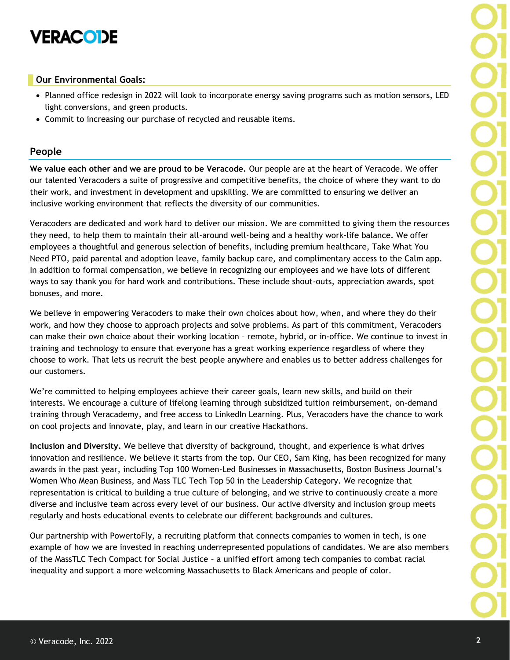## **VERACODE**

#### **Our Environmental Goals:**

- Planned office redesign in 2022 will look to incorporate energy saving programs such as motion sensors, LED light conversions, and green products.
- Commit to increasing our purchase of recycled and reusable items.

#### **People**

**We value each other and we are proud to be Veracode.** Our people are at the heart of Veracode. We offer our talented Veracoders a suite of progressive and competitive benefits, the choice of where they want to do their work, and investment in development and upskilling. We are committed to ensuring we deliver an inclusive working environment that reflects the diversity of our communities.

Veracoders are dedicated and work hard to deliver our mission. We are committed to giving them the resources they need, to help them to maintain their all-around well-being and a healthy work-life balance. We offer employees a thoughtful and generous selection of benefits, including premium healthcare, Take What You Need PTO, paid parental and adoption leave, family backup care, and complimentary access to the Calm app. In addition to formal compensation, we believe in recognizing our employees and we have lots of different ways to say thank you for hard work and contributions. These include shout-outs, appreciation awards, spot bonuses, and more.

We believe in empowering Veracoders to make their own choices about how, when, and where they do their work, and how they choose to approach projects and solve problems. As part of this commitment, Veracoders can make their own choice about their working location – remote, hybrid, or in-office. We continue to invest in training and technology to ensure that everyone has a great working experience regardless of where they choose to work. That lets us recruit the best people anywhere and enables us to better address challenges for our customers.

We're committed to helping employees achieve their career goals, learn new skills, and build on their interests. We encourage a culture of lifelong learning through subsidized tuition reimbursement, on-demand training through Veracademy, and free access to LinkedIn Learning. Plus, Veracoders have the chance to work on cool projects and innovate, play, and learn in our creative Hackathons.

**Inclusion and Diversity.** We believe that diversity of background, thought, and experience is what drives innovation and resilience. We believe it starts from the top. Our CEO, Sam King, has been recognized for many awards in the past year, including Top 100 Women-Led Businesses in Massachusetts, Boston Business Journal's Women Who Mean Business, and Mass TLC Tech Top 50 in the Leadership Category. We recognize that representation is critical to building a true culture of belonging, and we strive to continuously create a more diverse and inclusive team across every level of our business. Our active diversity and inclusion group meets regularly and hosts educational events to celebrate our different backgrounds and cultures.

Our partnership with PowertoFly, a recruiting platform that connects companies to women in tech, is one example of how we are invested in reaching underrepresented populations of candidates. We are also members of the MassTLC Tech Compact for Social Justice – a unified effort among tech companies to combat racial inequality and support a more welcoming Massachusetts to Black Americans and people of color.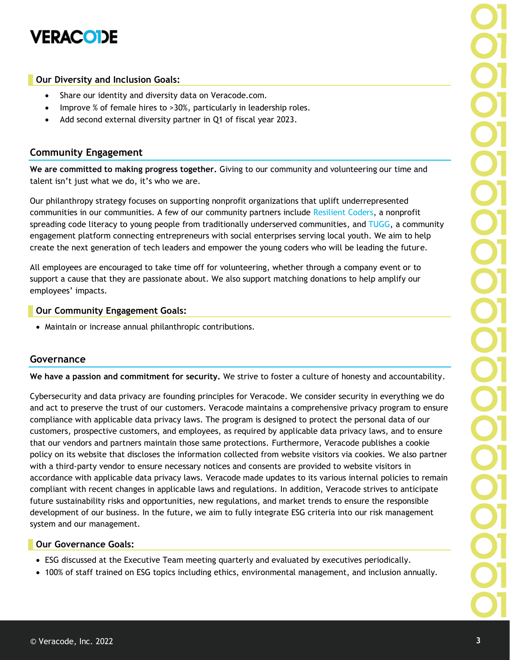

#### **Our Diversity and Inclusion Goals:**

- Share our identity and diversity data on Veracode.com.
- Improve % of female hires to >30%, particularly in leadership roles.
- Add second external diversity partner in Q1 of fiscal year 2023.

#### <span id="page-3-0"></span>**Community Engagement**

**We are committed to making progress together.** Giving to our community and volunteering our time and talent isn't just what we do, it's who we are.

Our philanthropy strategy focuses on supporting nonprofit organizations that uplift underrepresented communities in our communities. A few of our community partners include [Resilient Coders,](http://www.resilientcoders.org/) a nonprofit spreading code literacy to young people from traditionally underserved communities, and [TUGG,](https://tugg.org/) a community engagement platform connecting entrepreneurs with social enterprises serving local youth. We aim to help create the next generation of tech leaders and empower the young coders who will be leading the future.

All employees are encouraged to take time off for volunteering, whether through a company event or to support a cause that they are passionate about. We also support matching donations to help amplify our employees' impacts.

#### **Our Community Engagement Goals:**

<span id="page-3-1"></span>• Maintain or increase annual philanthropic contributions.

#### **Governance**

**We have a passion and commitment for security.** We strive to foster a culture of honesty and accountability.

Cybersecurity and data privacy are founding principles for Veracode. We consider security in everything we do and act to preserve the trust of our customers. Veracode maintains a comprehensive privacy program to ensure compliance with applicable data privacy laws. The program is designed to protect the personal data of our customers, prospective customers, and employees, as required by applicable data privacy laws, and to ensure that our vendors and partners maintain those same protections. Furthermore, Veracode publishes a cookie policy on its website that discloses the information collected from website visitors via cookies. We also partner with a third-party vendor to ensure necessary notices and consents are provided to website visitors in accordance with applicable data privacy laws. Veracode made updates to its various internal policies to remain compliant with recent changes in applicable laws and regulations. In addition, Veracode strives to anticipate future sustainability risks and opportunities, new regulations, and market trends to ensure the responsible development of our business. In the future, we aim to fully integrate ESG criteria into our risk management system and our management.

#### **Our Governance Goals:**

- ESG discussed at the Executive Team meeting quarterly and evaluated by executives periodically.
- 100% of staff trained on ESG topics including ethics, environmental management, and inclusion annually.